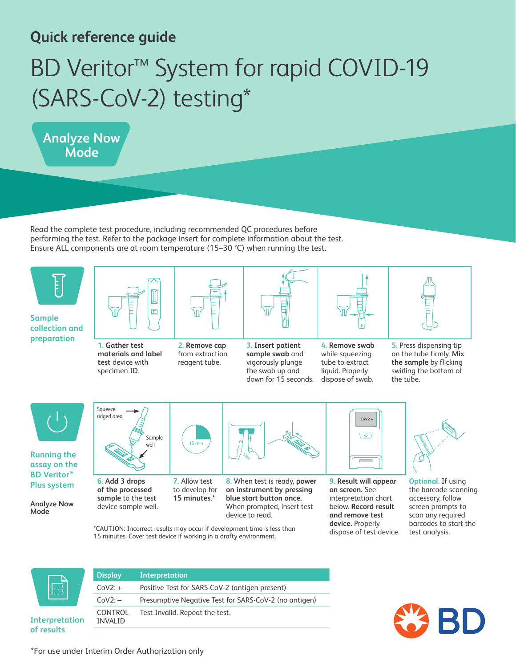### **Quick reference guide**

## BD Veritor™ System for rapid COVID-19 (SARS-CoV-2) testing\*

**Analyze Now Analyze Now Mode Mode**

Read the complete test procedure, including recommended QC procedures before performing the test. Refer to the package insert for complete information about the test. Ensure ALL components are at room temperature (15–30 °C) when running the test.



**Sample collection and preparation**



**1. Gather test materials and label test** device with specimen ID.



**3. Insert patient sample swab** and vigorously plunge the swab up and down for 15 seconds.

**4. Remove swab**  while squeezing tube to extract liquid. Properly dispose of swab.

**5.** Press dispensing tip on the tube firmly. **Mix the sample** by flicking swirling the bottom of the tube.



**Running the assay on the BD Veritor™ Plus system**

**Analyze Now Mode**

Squeeze ridged area Sample well

**6. Add 3 drops of the processed sample** to the test device sample well.

15 min **7.** Allow test

to develop for **15 minutes.\* 8.** When test is ready, **power** 

**on instrument by pressing blue start button once.** When prompted, insert test device to read.

**CoV2 +**  $\sqrt{9}$  $\overline{\phantom{0}}$ 

**9. Result will appear on screen.** See interpretation chart below. **Record result and remove test device.** Properly dispose of test device.



**Optional.** If using the barcode scanning accessory, follow screen prompts to scan any required barcodes to start the test analysis.

**Interpretation of results**

**Display Interpretation** CoV2: + Positive Test for SARS-CoV-2 (antigen present) CoV2: – Presumptive Negative Test for SARS-CoV-2 (no antigen) CONTROL INVALID Test Invalid. Repeat the test.

\*CAUTION: Incorrect results may occur if development time is less than 15 minutes. Cover test device if working in a drafty environment.